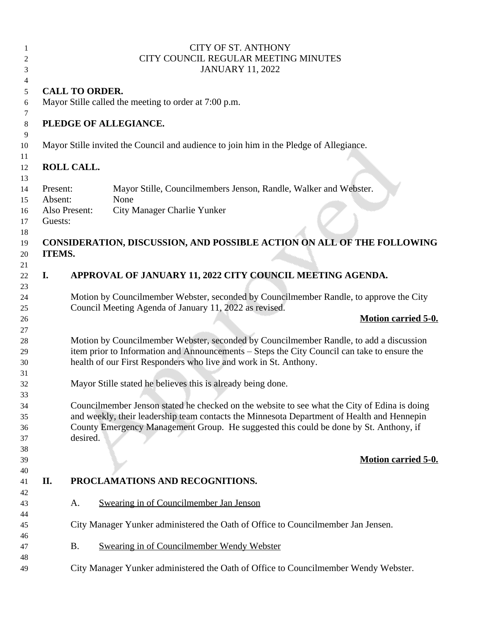| 1<br>$\overline{c}$<br>3        |                       | <b>CITY OF ST. ANTHONY</b><br>CITY COUNCIL REGULAR MEETING MINUTES<br><b>JANUARY 11, 2022</b>                                                                                                                                                                                       |
|---------------------------------|-----------------------|-------------------------------------------------------------------------------------------------------------------------------------------------------------------------------------------------------------------------------------------------------------------------------------|
| $\overline{4}$                  |                       |                                                                                                                                                                                                                                                                                     |
| 5                               | <b>CALL TO ORDER.</b> |                                                                                                                                                                                                                                                                                     |
| 6                               |                       | Mayor Stille called the meeting to order at 7:00 p.m.                                                                                                                                                                                                                               |
| 7<br>$8\,$                      |                       | PLEDGE OF ALLEGIANCE.                                                                                                                                                                                                                                                               |
| 9<br>10                         |                       | Mayor Stille invited the Council and audience to join him in the Pledge of Allegiance.                                                                                                                                                                                              |
| 11<br>12<br>13                  | <b>ROLL CALL.</b>     |                                                                                                                                                                                                                                                                                     |
| Present:<br>14<br>Absent:<br>15 |                       | Mayor Stille, Councilmembers Jenson, Randle, Walker and Webster.<br>None                                                                                                                                                                                                            |
| 16<br>Guests:<br>17             | Also Present:         | City Manager Charlie Yunker                                                                                                                                                                                                                                                         |
| 18<br>19<br>ITEMS.<br>20        |                       | CONSIDERATION, DISCUSSION, AND POSSIBLE ACTION ON ALL OF THE FOLLOWING                                                                                                                                                                                                              |
| 21<br>I.<br>22                  |                       | APPROVAL OF JANUARY 11, 2022 CITY COUNCIL MEETING AGENDA.                                                                                                                                                                                                                           |
| 23<br>24<br>25                  |                       | Motion by Councilmember Webster, seconded by Councilmember Randle, to approve the City<br>Council Meeting Agenda of January 11, 2022 as revised.                                                                                                                                    |
|                                 |                       |                                                                                                                                                                                                                                                                                     |
| 26                              |                       | <b>Motion carried 5-0.</b>                                                                                                                                                                                                                                                          |
| 27<br>28<br>29<br>30            |                       | Motion by Councilmember Webster, seconded by Councilmember Randle, to add a discussion<br>item prior to Information and Announcements - Steps the City Council can take to ensure the<br>health of our First Responders who live and work in St. Anthony.                           |
| 31<br>32                        |                       | Mayor Stille stated he believes this is already being done.                                                                                                                                                                                                                         |
| 33<br>34<br>35<br>36<br>37      | desired.              | Councilmember Jenson stated he checked on the website to see what the City of Edina is doing<br>and weekly, their leadership team contacts the Minnesota Department of Health and Hennepin<br>County Emergency Management Group. He suggested this could be done by St. Anthony, if |
| 38<br>39                        |                       | <b>Motion carried 5-0.</b>                                                                                                                                                                                                                                                          |
| 40<br>II.<br>41                 |                       | PROCLAMATIONS AND RECOGNITIONS.                                                                                                                                                                                                                                                     |
| 42<br>43                        | A.                    | Swearing in of Councilmember Jan Jenson                                                                                                                                                                                                                                             |
| 44<br>45<br>46                  |                       | City Manager Yunker administered the Oath of Office to Councilmember Jan Jensen.                                                                                                                                                                                                    |
| 47<br>48                        | <b>B.</b>             | Swearing in of Councilmember Wendy Webster                                                                                                                                                                                                                                          |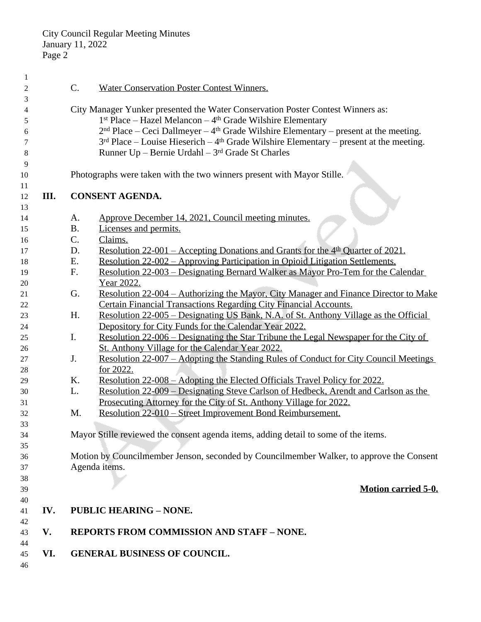| $\mathbf{1}$   |      |                 |                                                                                                      |
|----------------|------|-----------------|------------------------------------------------------------------------------------------------------|
| $\overline{2}$ |      | $\mathcal{C}$ . | <b>Water Conservation Poster Contest Winners.</b>                                                    |
| 3              |      |                 |                                                                                                      |
| 4              |      |                 | City Manager Yunker presented the Water Conservation Poster Contest Winners as:                      |
| 5              |      |                 | $1st Place - Hazel Melancon - 4th Grade Wilson Elementary$                                           |
| 6              |      |                 |                                                                                                      |
| 7              |      |                 | $3rd$ Place – Louise Hieserich – 4 <sup>th</sup> Grade Wilshire Elementary – present at the meeting. |
| 8              |      |                 | Runner Up - Bernie Urdahl - 3rd Grade St Charles                                                     |
| 9              |      |                 |                                                                                                      |
| 10             |      |                 | Photographs were taken with the two winners present with Mayor Stille.                               |
| 11             |      |                 |                                                                                                      |
| 12             | III. |                 | <b>CONSENT AGENDA.</b>                                                                               |
| 13             |      |                 |                                                                                                      |
| 14             |      | A.              | Approve December 14, 2021, Council meeting minutes.                                                  |
| 15             |      | <b>B.</b>       | Licenses and permits.                                                                                |
| 16             |      | C.              | Claims.                                                                                              |
| 17             |      | D.              | <u>Resolution 22-001 – Accepting Donations and Grants for the <math>4th</math> Quarter of 2021.</u>  |
| 18             |      | Ε.              | <u> Resolution 22-002 – Approving Participation in Opioid Litigation Settlements.</u>                |
| 19             |      | F.              | <u> Resolution 22-003 – Designating Bernard Walker as Mayor Pro-Tem for the Calendar</u>             |
| 20             |      |                 | Year 2022.                                                                                           |
| 21             |      | G.              | Resolution 22-004 – Authorizing the Mayor, City Manager and Finance Director to Make                 |
| 22             |      |                 | <b>Certain Financial Transactions Regarding City Financial Accounts.</b>                             |
| 23             |      | H.              | <u> Resolution 22-005 – Designating US Bank, N.A. of St. Anthony Village as the Official</u>         |
| 24             |      |                 | Depository for City Funds for the Calendar Year 2022.                                                |
| 25             |      | I.              | <u> Resolution 22-006 – Designating the Star Tribune the Legal Newspaper for the City of</u>         |
| 26             |      |                 | St. Anthony Village for the Calendar Year 2022.                                                      |
| 27             |      | J.              | <u> Resolution 22-007 – Adopting the Standing Rules of Conduct for City Council Meetings</u>         |
| 28             |      |                 | for 2022.                                                                                            |
| 29             |      | K.              | <u> Resolution 22-008 – Adopting the Elected Officials Travel Policy for 2022.</u>                   |
| 30             |      | L.              | Resolution 22-009 – Designating Steve Carlson of Hedbeck, Arendt and Carlson as the                  |
|                |      |                 | Prosecuting Attorney for the City of St. Anthony Village for 2022.                                   |
| 31             |      | M.              |                                                                                                      |
| 32<br>33       |      |                 | Resolution 22-010 - Street Improvement Bond Reimbursement.                                           |
|                |      |                 | Mayor Stille reviewed the consent agenda items, adding detail to some of the items.                  |
| 34             |      |                 |                                                                                                      |
| 35             |      |                 | Motion by Councilmember Jenson, seconded by Councilmember Walker, to approve the Consent             |
| 36             |      |                 |                                                                                                      |
| 37             |      |                 | Agenda items.                                                                                        |
| 38             |      |                 | <b>Motion carried 5-0.</b>                                                                           |
| 39             |      |                 |                                                                                                      |
| 40             | IV.  |                 | <b>PUBLIC HEARING - NONE.</b>                                                                        |
| 41<br>42       |      |                 |                                                                                                      |
| 43             | V.   |                 | <b>REPORTS FROM COMMISSION AND STAFF - NONE.</b>                                                     |
| 44             |      |                 |                                                                                                      |
| 45             | VI.  |                 | <b>GENERAL BUSINESS OF COUNCIL.</b>                                                                  |
| 46             |      |                 |                                                                                                      |
|                |      |                 |                                                                                                      |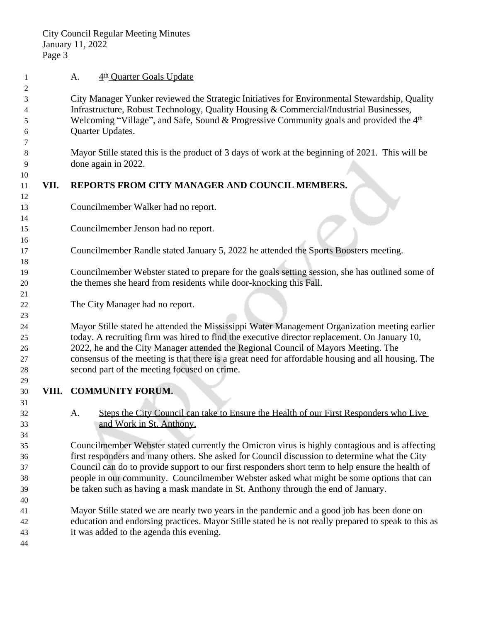**A.** 4<sup>th</sup> Quarter Goals Update

 City Manager Yunker reviewed the Strategic Initiatives for Environmental Stewardship, Quality Infrastructure, Robust Technology, Quality Housing & Commercial/Industrial Businesses, Welcoming "Village", and Safe, Sound & Progressive Community goals and provided the 4th Quarter Updates.

 Mayor Stille stated this is the product of 3 days of work at the beginning of 2021. This will be done again in 2022.

## 

## **VII. REPORTS FROM CITY MANAGER AND COUNCIL MEMBERS.**

- Councilmember Walker had no report.
- Councilmember Jenson had no report.
- Councilmember Randle stated January 5, 2022 he attended the Sports Boosters meeting.
- Councilmember Webster stated to prepare for the goals setting session, she has outlined some of the themes she heard from residents while door-knocking this Fall.
- The City Manager had no report.

 Mayor Stille stated he attended the Mississippi Water Management Organization meeting earlier today. A recruiting firm was hired to find the executive director replacement. On January 10, 2022, he and the City Manager attended the Regional Council of Mayors Meeting. The consensus of the meeting is that there is a great need for affordable housing and all housing. The second part of the meeting focused on crime.

- **VIII. COMMUNITY FORUM.**
- A. Steps the City Council can take to Ensure the Health of our First Responders who Live and Work in St. Anthony.

 Councilmember Webster stated currently the Omicron virus is highly contagious and is affecting first responders and many others. She asked for Council discussion to determine what the City Council can do to provide support to our first responders short term to help ensure the health of people in our community. Councilmember Webster asked what might be some options that can be taken such as having a mask mandate in St. Anthony through the end of January.

- Mayor Stille stated we are nearly two years in the pandemic and a good job has been done on education and endorsing practices. Mayor Stille stated he is not really prepared to speak to this as it was added to the agenda this evening.
-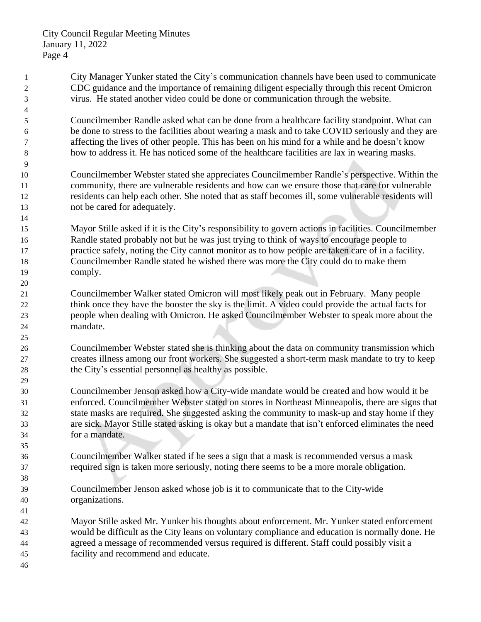- City Manager Yunker stated the City's communication channels have been used to communicate CDC guidance and the importance of remaining diligent especially through this recent Omicron virus. He stated another video could be done or communication through the website. Councilmember Randle asked what can be done from a healthcare facility standpoint. What can be done to stress to the facilities about wearing a mask and to take COVID seriously and they are affecting the lives of other people. This has been on his mind for a while and he doesn't know how to address it. He has noticed some of the healthcare facilities are lax in wearing masks. Councilmember Webster stated she appreciates Councilmember Randle's perspective. Within the community, there are vulnerable residents and how can we ensure those that care for vulnerable residents can help each other. She noted that as staff becomes ill, some vulnerable residents will not be cared for adequately. Mayor Stille asked if it is the City's responsibility to govern actions in facilities. Councilmember Randle stated probably not but he was just trying to think of ways to encourage people to practice safely, noting the City cannot monitor as to how people are taken care of in a facility. Councilmember Randle stated he wished there was more the City could do to make them comply. Councilmember Walker stated Omicron will most likely peak out in February. Many people think once they have the booster the sky is the limit. A video could provide the actual facts for people when dealing with Omicron. He asked Councilmember Webster to speak more about the mandate. Councilmember Webster stated she is thinking about the data on community transmission which creates illness among our front workers. She suggested a short-term mask mandate to try to keep the City's essential personnel as healthy as possible. Councilmember Jenson asked how a City-wide mandate would be created and how would it be enforced. Councilmember Webster stated on stores in Northeast Minneapolis, there are signs that state masks are required. She suggested asking the community to mask-up and stay home if they are sick. Mayor Stille stated asking is okay but a mandate that isn't enforced eliminates the need for a mandate. Councilmember Walker stated if he sees a sign that a mask is recommended versus a mask required sign is taken more seriously, noting there seems to be a more morale obligation. Councilmember Jenson asked whose job is it to communicate that to the City-wide organizations. Mayor Stille asked Mr. Yunker his thoughts about enforcement. Mr. Yunker stated enforcement would be difficult as the City leans on voluntary compliance and education is normally done. He agreed a message of recommended versus required is different. Staff could possibly visit a facility and recommend and educate.
-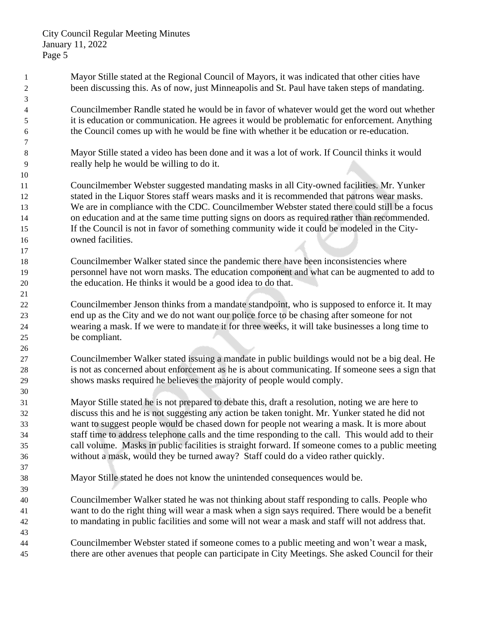City Council Regular Meeting Minutes January 11, 2022 Page 5

 Mayor Stille stated at the Regional Council of Mayors, it was indicated that other cities have been discussing this. As of now, just Minneapolis and St. Paul have taken steps of mandating. Councilmember Randle stated he would be in favor of whatever would get the word out whether it is education or communication. He agrees it would be problematic for enforcement. Anything the Council comes up with he would be fine with whether it be education or re-education. Mayor Stille stated a video has been done and it was a lot of work. If Council thinks it would really help he would be willing to do it. Councilmember Webster suggested mandating masks in all City-owned facilities. Mr. Yunker stated in the Liquor Stores staff wears masks and it is recommended that patrons wear masks. We are in compliance with the CDC. Councilmember Webster stated there could still be a focus on education and at the same time putting signs on doors as required rather than recommended. If the Council is not in favor of something community wide it could be modeled in the City- owned facilities. Councilmember Walker stated since the pandemic there have been inconsistencies where personnel have not worn masks. The education component and what can be augmented to add to the education. He thinks it would be a good idea to do that. Councilmember Jenson thinks from a mandate standpoint, who is supposed to enforce it. It may end up as the City and we do not want our police force to be chasing after someone for not wearing a mask. If we were to mandate it for three weeks, it will take businesses a long time to be compliant. Councilmember Walker stated issuing a mandate in public buildings would not be a big deal. He is not as concerned about enforcement as he is about communicating. If someone sees a sign that shows masks required he believes the majority of people would comply. Mayor Stille stated he is not prepared to debate this, draft a resolution, noting we are here to discuss this and he is not suggesting any action be taken tonight. Mr. Yunker stated he did not want to suggest people would be chased down for people not wearing a mask. It is more about staff time to address telephone calls and the time responding to the call. This would add to their call volume. Masks in public facilities is straight forward. If someone comes to a public meeting without a mask, would they be turned away? Staff could do a video rather quickly. Mayor Stille stated he does not know the unintended consequences would be. Councilmember Walker stated he was not thinking about staff responding to calls. People who want to do the right thing will wear a mask when a sign says required. There would be a benefit to mandating in public facilities and some will not wear a mask and staff will not address that. Councilmember Webster stated if someone comes to a public meeting and won't wear a mask, there are other avenues that people can participate in City Meetings. She asked Council for their